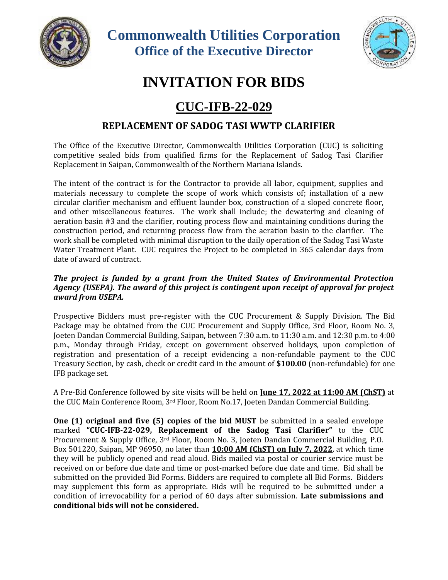

**Commonwealth Utilities Corporation Office of the Executive Director**



## **INVITATION FOR BIDS**

## **CUC-IFB-22-029**

## **REPLACEMENT OF SADOG TASI WWTP CLARIFIER**

The Office of the Executive Director, Commonwealth Utilities Corporation (CUC) is soliciting competitive sealed bids from qualified firms for the Replacement of Sadog Tasi Clarifier Replacement in Saipan, Commonwealth of the Northern Mariana Islands.

The intent of the contract is for the Contractor to provide all labor, equipment, supplies and materials necessary to complete the scope of work which consists of; installation of a new circular clarifier mechanism and effluent launder box, construction of a sloped concrete floor, and other miscellaneous features. The work shall include; the dewatering and cleaning of aeration basin #3 and the clarifier, routing process flow and maintaining conditions during the construction period, and returning process flow from the aeration basin to the clarifier. The work shall be completed with minimal disruption to the daily operation of the Sadog Tasi Waste Water Treatment Plant. CUC requires the Project to be completed in 365 calendar days from date of award of contract.

## *The project is funded by a grant from the United States of Environmental Protection Agency (USEPA). The award of this project is contingent upon receipt of approval for project award from USEPA.*

Prospective Bidders must pre-register with the CUC Procurement & Supply Division. The Bid Package may be obtained from the CUC Procurement and Supply Office, 3rd Floor, Room No. 3, Joeten Dandan Commercial Building, Saipan, between 7:30 a.m. to 11:30 a.m. and 12:30 p.m. to 4:00 p.m., Monday through Friday, except on government observed holidays, upon completion of registration and presentation of a receipt evidencing a non-refundable payment to the CUC Treasury Section, by cash, check or credit card in the amount of **\$100.00** (non-refundable) for one IFB package set.

A Pre-Bid Conference followed by site visits will be held on **June 17, 2022 at 11:00 AM (ChST)** at the CUC Main Conference Room, 3rd Floor, Room No.17, Joeten Dandan Commercial Building.

**One (1) original and five (5) copies of the bid MUST** be submitted in a sealed envelope marked **"CUC-IFB-22-029, Replacement of the Sadog Tasi Clarifier"** to the CUC Procurement & Supply Office, 3rd Floor, Room No. 3, Joeten Dandan Commercial Building, P.O. Box 501220, Saipan, MP 96950, no later than **10:00 AM (ChST) on July 7, 2022**, at which time they will be publicly opened and read aloud. Bids mailed via postal or courier service must be received on or before due date and time or post-marked before due date and time. Bid shall be submitted on the provided Bid Forms. Bidders are required to complete all Bid Forms. Bidders may supplement this form as appropriate. Bids will be required to be submitted under a condition of irrevocability for a period of 60 days after submission. **Late submissions and conditional bids will not be considered.**